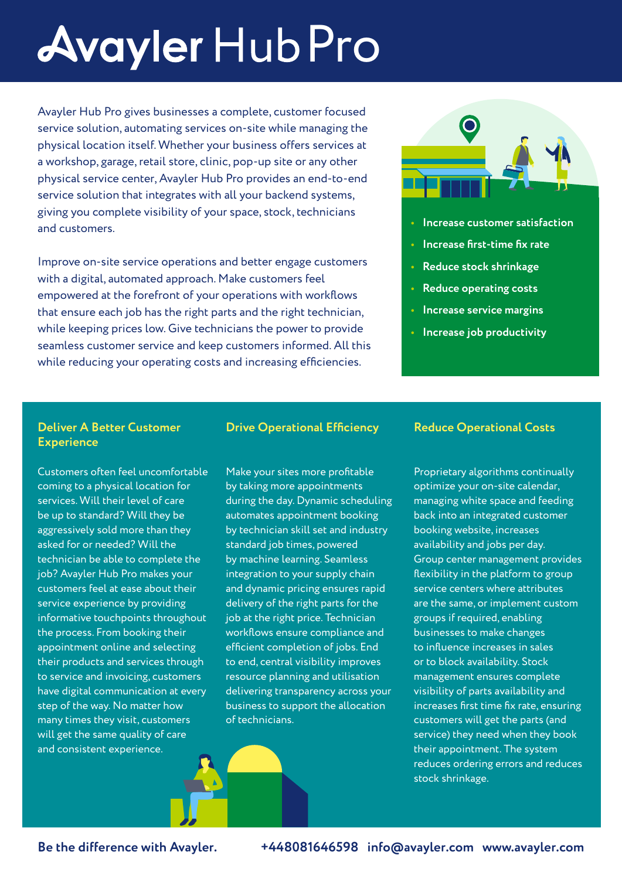# **Avayler Hub Pro**

Avayler Hub Pro gives businesses a complete, customer focused service solution, automating services on-site while managing the physical location itself. Whether your business offers services at a workshop, garage, retail store, clinic, pop-up site or any other physical service center, Avayler Hub Pro provides an end-to-end service solution that integrates with all your backend systems, giving you complete visibility of your space, stock, technicians and customers.

Improve on-site service operations and better engage customers with a digital, automated approach. Make customers feel empowered at the forefront of your operations with workflows that ensure each job has the right parts and the right technician, while keeping prices low. Give technicians the power to provide seamless customer service and keep customers informed. All this while reducing your operating costs and increasing efficiencies.



- **• Increase customer satisfaction**
- **• Increase first-time fix rate**
- **• Reduce stock shrinkage**
- **• Reduce operating costs**
- **• Increase service margins**
- **• Increase job productivity**

#### **Deliver A Better Customer Experience**

Customers often feel uncomfortable coming to a physical location for services. Will their level of care be up to standard? Will they be aggressively sold more than they asked for or needed? Will the technician be able to complete the job? Avayler Hub Pro makes your customers feel at ease about their service experience by providing informative touchpoints throughout the process. From booking their appointment online and selecting their products and services through to service and invoicing, customers have digital communication at every step of the way. No matter how many times they visit, customers will get the same quality of care and consistent experience.

#### **Drive Operational Efficiency**

Make your sites more profitable by taking more appointments during the day. Dynamic scheduling automates appointment booking by technician skill set and industry standard job times, powered by machine learning. Seamless integration to your supply chain and dynamic pricing ensures rapid delivery of the right parts for the job at the right price. Technician workflows ensure compliance and efficient completion of jobs. End to end, central visibility improves resource planning and utilisation delivering transparency across your business to support the allocation of technicians.

#### **Reduce Operational Costs**

Proprietary algorithms continually optimize your on-site calendar, managing white space and feeding back into an integrated customer booking website, increases availability and jobs per day. Group center management provides flexibility in the platform to group service centers where attributes are the same, or implement custom groups if required, enabling businesses to make changes to influence increases in sales or to block availability. Stock management ensures complete visibility of parts availability and increases first time fix rate, ensuring customers will get the parts (and service) they need when they book their appointment. The system reduces ordering errors and reduces stock shrinkage.